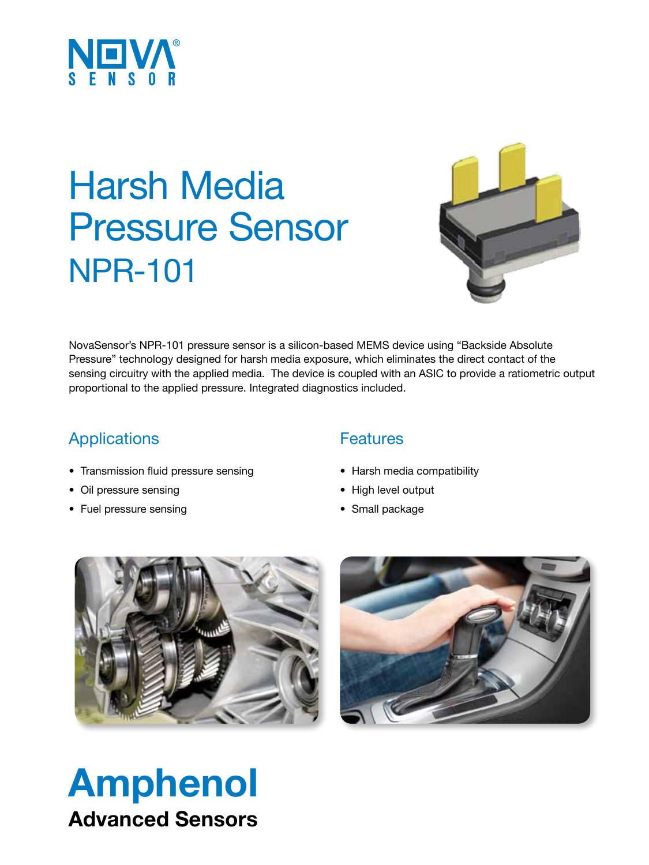

## Harsh Media Pressure Sensor NPR-101



NovaSensor's NPR-101 pressure sensor is a silicon-based MEMS device using "Backside Absolute Pressure" technology designed for harsh media exposure, which eliminates the direct contact of the sensing circuitry with the applied media. The device is coupled with an ASIC to provide a ratiometric output proportional to the applied pressure. Integrated diagnostics included.

### Applications

- • Transmission fluid pressure sensing
- Oil pressure sensing
- Fuel pressure sensing

#### **Features**

- Harsh media compatibility
- • High level output
- Small package





## Amphenol Advanced Sensors